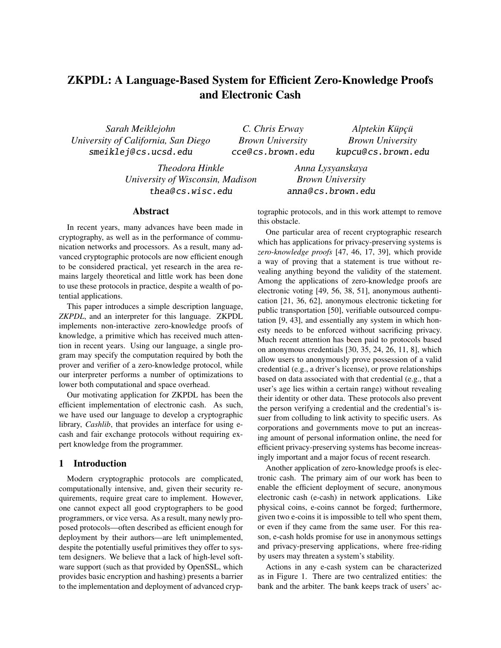# ZKPDL: A Language-Based System for Efficient Zero-Knowledge Proofs and Electronic Cash

*Sarah Meiklejohn University of California, San Diego* smeiklej@ cs.ucsd.edu

*C. Chris Erway Brown University* cce@ cs.brown.edu

*Alptekin Küpçü Brown University* kupcu@ cs.brown.edu

*Theodora Hinkle University of Wisconsin, Madison* thea@ cs.wisc.edu

*Anna Lysyanskaya Brown University* anna@ cs.brown.edu

# Abstract

In recent years, many advances have been made in cryptography, as well as in the performance of communication networks and processors. As a result, many advanced cryptographic protocols are now efficient enough to be considered practical, yet research in the area remains largely theoretical and little work has been done to use these protocols in practice, despite a wealth of potential applications.

This paper introduces a simple description language, *ZKPDL*, and an interpreter for this language. ZKPDL implements non-interactive zero-knowledge proofs of knowledge, a primitive which has received much attention in recent years. Using our language, a single program may specify the computation required by both the prover and verifier of a zero-knowledge protocol, while our interpreter performs a number of optimizations to lower both computational and space overhead.

Our motivating application for ZKPDL has been the efficient implementation of electronic cash. As such, we have used our language to develop a cryptographic library, *Cashlib*, that provides an interface for using ecash and fair exchange protocols without requiring expert knowledge from the programmer.

## 1 Introduction

Modern cryptographic protocols are complicated, computationally intensive, and, given their security requirements, require great care to implement. However, one cannot expect all good cryptographers to be good programmers, or vice versa. As a result, many newly proposed protocols—often described as efficient enough for deployment by their authors—are left unimplemented, despite the potentially useful primitives they offer to system designers. We believe that a lack of high-level software support (such as that provided by OpenSSL, which provides basic encryption and hashing) presents a barrier to the implementation and deployment of advanced cryptographic protocols, and in this work attempt to remove this obstacle.

One particular area of recent cryptographic research which has applications for privacy-preserving systems is *zero-knowledge proofs* [47, 46, 17, 39], which provide a way of proving that a statement is true without revealing anything beyond the validity of the statement. Among the applications of zero-knowledge proofs are electronic voting [49, 56, 38, 51], anonymous authentication [21, 36, 62], anonymous electronic ticketing for public transportation [50], verifiable outsourced computation [9, 43], and essentially any system in which honesty needs to be enforced without sacrificing privacy. Much recent attention has been paid to protocols based on anonymous credentials [30, 35, 24, 26, 11, 8], which allow users to anonymously prove possession of a valid credential (e.g., a driver's license), or prove relationships based on data associated with that credential (e.g., that a user's age lies within a certain range) without revealing their identity or other data. These protocols also prevent the person verifying a credential and the credential's issuer from colluding to link activity to specific users. As corporations and governments move to put an increasing amount of personal information online, the need for efficient privacy-preserving systems has become increasingly important and a major focus of recent research.

Another application of zero-knowledge proofs is electronic cash. The primary aim of our work has been to enable the efficient deployment of secure, anonymous electronic cash (e-cash) in network applications. Like physical coins, e-coins cannot be forged; furthermore, given two e-coins it is impossible to tell who spent them, or even if they came from the same user. For this reason, e-cash holds promise for use in anonymous settings and privacy-preserving applications, where free-riding by users may threaten a system's stability.

Actions in any e-cash system can be characterized as in Figure 1. There are two centralized entities: the bank and the arbiter. The bank keeps track of users' ac-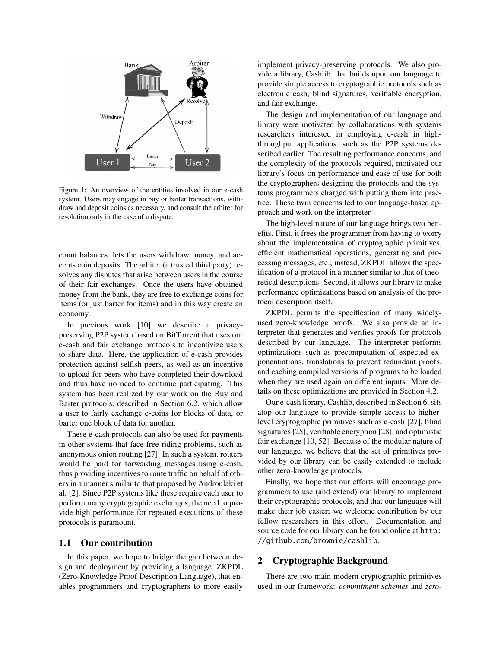

Figure 1: An overview of the entities involved in our e-cash system. Users may engage in buy or barter transactions, withdraw and deposit coins as necessary, and consult the arbiter for resolution only in the case of a dispute.

count balances, lets the users withdraw money, and accepts coin deposits. The arbiter (a trusted third party) resolves any disputes that arise between users in the course of their fair exchanges. Once the users have obtained money from the bank, they are free to exchange coins for items (or just barter for items) and in this way create an economy.

In previous work [10] we describe a privacypreserving P2P system based on BitTorrent that uses our e-cash and fair exchange protocols to incentivize users to share data. Here, the application of e-cash provides protection against selfish peers, as well as an incentive to upload for peers who have completed their download and thus have no need to continue participating. This system has been realized by our work on the Buy and Barter protocols, described in Section 6.2, which allow a user to fairly exchange e-coins for blocks of data, or barter one block of data for another.

These e-cash protocols can also be used for payments in other systems that face free-riding problems, such as anonymous onion routing [27]. In such a system, routers would be paid for forwarding messages using e-cash, thus providing incentives to route traffic on behalf of others in a manner similar to that proposed by Androulaki et al. [2]. Since P2P systems like these require each user to perform many cryptographic exchanges, the need to provide high performance for repeated executions of these protocols is paramount.

#### 1.1 Our contribution

In this paper, we hope to bridge the gap between design and deployment by providing a language, ZKPDL (Zero-Knowledge Proof Description Language), that enables programmers and cryptographers to more easily implement privacy-preserving protocols. We also provide a library, Cashlib, that builds upon our language to provide simple access to cryptographic protocols such as electronic cash, blind signatures, verifiable encryption, and fair exchange.

The design and implementation of our language and library were motivated by collaborations with systems researchers interested in employing e-cash in highthroughput applications, such as the P2P systems described earlier. The resulting performance concerns, and the complexity of the protocols required, motivated our library's focus on performance and ease of use for both the cryptographers designing the protocols and the systems programmers charged with putting them into practice. These twin concerns led to our language-based approach and work on the interpreter.

The high-level nature of our language brings two benefits. First, it frees the programmer from having to worry about the implementation of cryptographic primitives, efficient mathematical operations, generating and processing messages, etc.; instead, ZKPDL allows the specification of a protocol in a manner similar to that of theoretical descriptions. Second, it allows our library to make performance optimizations based on analysis of the protocol description itself.

ZKPDL permits the specification of many widelyused zero-knowledge proofs. We also provide an interpreter that generates and verifies proofs for protocols described by our language. The interpreter performs optimizations such as precomputation of expected exponentiations, translations to prevent redundant proofs, and caching compiled versions of programs to be loaded when they are used again on different inputs. More details on these optimizations are provided in Section 4.2.

Our e-cash library, Cashlib, described in Section 6, sits atop our language to provide simple access to higherlevel cryptographic primitives such as e-cash [27], blind signatures [25], verifiable encryption [28], and optimistic fair exchange [10, 52]. Because of the modular nature of our language, we believe that the set of primitives provided by our library can be easily extended to include other zero-knowledge protocols.

Finally, we hope that our efforts will encourage programmers to use (and extend) our library to implement their cryptographic protocols, and that our language will make their job easier; we welcome contribution by our fellow researchers in this effort. Documentation and source code for our library can be found online at http: //github.com/brownie/cashlib.

# 2 Cryptographic Background

There are two main modern cryptographic primitives used in our framework: *commitment schemes* and *zero-*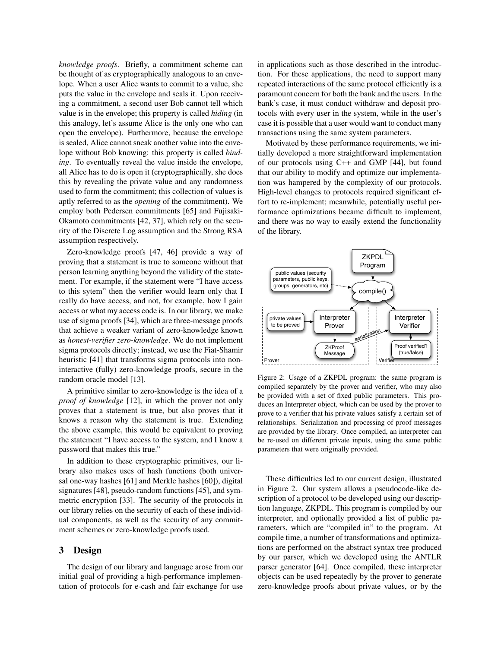*knowledge proofs*. Briefly, a commitment scheme can be thought of as cryptographically analogous to an envelope. When a user Alice wants to commit to a value, she puts the value in the envelope and seals it. Upon receiving a commitment, a second user Bob cannot tell which value is in the envelope; this property is called *hiding* (in this analogy, let's assume Alice is the only one who can open the envelope). Furthermore, because the envelope is sealed, Alice cannot sneak another value into the envelope without Bob knowing: this property is called *binding*. To eventually reveal the value inside the envelope, all Alice has to do is open it (cryptographically, she does this by revealing the private value and any randomness used to form the commitment; this collection of values is aptly referred to as the *opening* of the commitment). We employ both Pedersen commitments [65] and Fujisaki-Okamoto commitments [42, 37], which rely on the security of the Discrete Log assumption and the Strong RSA assumption respectively.

Zero-knowledge proofs [47, 46] provide a way of proving that a statement is true to someone without that person learning anything beyond the validity of the statement. For example, if the statement were "I have access to this sytem" then the verifier would learn only that I really do have access, and not, for example, how I gain access or what my access code is. In our library, we make use of sigma proofs [34], which are three-message proofs that achieve a weaker variant of zero-knowledge known as *honest-verifier zero-knowledge*. We do not implement sigma protocols directly; instead, we use the Fiat-Shamir heuristic [41] that transforms sigma protocols into noninteractive (fully) zero-knowledge proofs, secure in the random oracle model [13].

A primitive similar to zero-knowledge is the idea of a *proof of knowledge* [12], in which the prover not only proves that a statement is true, but also proves that it knows a reason why the statement is true. Extending the above example, this would be equivalent to proving the statement "I have access to the system, and I know a password that makes this true."

In addition to these cryptographic primitives, our library also makes uses of hash functions (both universal one-way hashes [61] and Merkle hashes [60]), digital signatures [48], pseudo-random functions [45], and symmetric encryption [33]. The security of the protocols in our library relies on the security of each of these individual components, as well as the security of any commitment schemes or zero-knowledge proofs used.

#### 3 Design

The design of our library and language arose from our initial goal of providing a high-performance implementation of protocols for e-cash and fair exchange for use in applications such as those described in the introduction. For these applications, the need to support many repeated interactions of the same protocol efficiently is a paramount concern for both the bank and the users. In the bank's case, it must conduct withdraw and deposit protocols with every user in the system, while in the user's case it is possible that a user would want to conduct many transactions using the same system parameters.

Motivated by these performance requirements, we initially developed a more straightforward implementation of our protocols using C++ and GMP [44], but found that our ability to modify and optimize our implementation was hampered by the complexity of our protocols. High-level changes to protocols required significant effort to re-implement; meanwhile, potentially useful performance optimizations became difficult to implement, and there was no way to easily extend the functionality of the library.



Figure 2: Usage of a ZKPDL program: the same program is compiled separately by the prover and verifier, who may also be provided with a set of fixed public parameters. This produces an Interpreter object, which can be used by the prover to prove to a verifier that his private values satisfy a certain set of relationships. Serialization and processing of proof messages are provided by the library. Once compiled, an interpreter can be re-used on different private inputs, using the same public parameters that were originally provided.

These difficulties led to our current design, illustrated in Figure 2. Our system allows a pseudocode-like description of a protocol to be developed using our description language, ZKPDL. This program is compiled by our interpreter, and optionally provided a list of public parameters, which are "compiled in" to the program. At compile time, a number of transformations and optimizations are performed on the abstract syntax tree produced by our parser, which we developed using the ANTLR parser generator [64]. Once compiled, these interpreter objects can be used repeatedly by the prover to generate zero-knowledge proofs about private values, or by the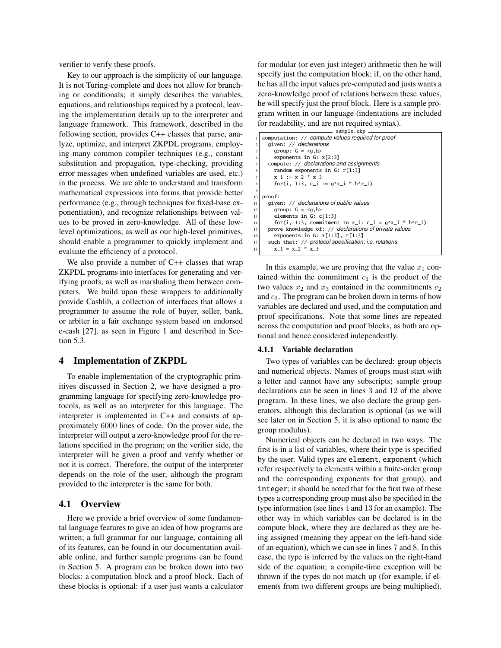verifier to verify these proofs.

Key to our approach is the simplicity of our language. It is not Turing-complete and does not allow for branching or conditionals; it simply describes the variables, equations, and relationships required by a protocol, leaving the implementation details up to the interpreter and language framework. This framework, described in the following section, provides C++ classes that parse, analyze, optimize, and interpret ZKPDL programs, employing many common compiler techniques (e.g., constant substitution and propagation, type-checking, providing error messages when undefined variables are used, etc.) in the process. We are able to understand and transform mathematical expressions into forms that provide better performance (e.g., through techniques for fixed-base exponentiation), and recognize relationships between values to be proved in zero-knowledge. All of these lowlevel optimizations, as well as our high-level primitives, should enable a programmer to quickly implement and evaluate the efficiency of a protocol.

We also provide a number of C++ classes that wrap ZKPDL programs into interfaces for generating and verifying proofs, as well as marshaling them between computers. We build upon these wrappers to additionally provide Cashlib, a collection of interfaces that allows a programmer to assume the role of buyer, seller, bank, or arbiter in a fair exchange system based on endorsed e-cash [27], as seen in Figure 1 and described in Section 5.3.

#### 4 Implementation of ZKPDL

To enable implementation of the cryptographic primitives discussed in Section 2, we have designed a programming language for specifying zero-knowledge protocols, as well as an interpreter for this language. The interpreter is implemented in C++ and consists of approximately 6000 lines of code. On the prover side, the interpreter will output a zero-knowledge proof for the relations specified in the program; on the verifier side, the interpreter will be given a proof and verify whether or not it is correct. Therefore, the output of the interpreter depends on the role of the user, although the program provided to the interpreter is the same for both.

## 4.1 Overview

Here we provide a brief overview of some fundamental language features to give an idea of how programs are written; a full grammar for our language, containing all of its features, can be found in our documentation available online, and further sample programs can be found in Section 5. A program can be broken down into two blocks: a computation block and a proof block. Each of these blocks is optional: if a user just wants a calculator for modular (or even just integer) arithmetic then he will specify just the computation block; if, on the other hand, he has all the input values pre-computed and justs wants a zero-knowledge proof of relations between these values, he will specify just the proof block. Here is a sample program written in our language (indentations are included for readability, and are not required syntax).

|                | sample.zkp                                              |
|----------------|---------------------------------------------------------|
|                | computation: // compute values required for proof       |
| $\overline{c}$ | given: // declarations                                  |
| 3              | group: $G = \langle q, h \rangle$                       |
| $\overline{4}$ | exponents in $G: x[2:3]$                                |
| 5              | compute: // declarations and assignments                |
| 6              | random exponents in $G: r[1:3]$                         |
| $\overline{7}$ | $x_1 := x_2 * x_3$                                      |
| 8              | for(i, 1:3, c_i := $q^x$ _i * h^r_i)                    |
| 9              |                                                         |
| 10             | proof:                                                  |
| 11             | given: // declarations of public values                 |
| 12             | qroup: $G = \langle q, h \rangle$                       |
| 13             | elements in $G: C[1:3]$                                 |
| 14             | for(i, 1:3, commitment to x_i: c_i = $g^x$ x_i * h^r_i) |
| 15             | prove knowledge of: // declarations of private values   |
| 16             | exponents in G: $x[1:3]$ , $r[1:3]$                     |
| 17             | such that: // protocol specification; i.e. relations    |
| 18             | $x 1 = x 2 * x 3$                                       |
|                |                                                         |

In this example, we are proving that the value  $x_1$  contained within the commitment  $c_1$  is the product of the two values  $x_2$  and  $x_3$  contained in the commitments  $c_2$ and  $c_3$ . The program can be broken down in terms of how variables are declared and used, and the computation and proof specifications. Note that some lines are repeated across the computation and proof blocks, as both are optional and hence considered independently.

#### 4.1.1 Variable declaration

Two types of variables can be declared: group objects and numerical objects. Names of groups must start with a letter and cannot have any subscripts; sample group declarations can be seen in lines 3 and 12 of the above program. In these lines, we also declare the group generators, although this declaration is optional (as we will see later on in Section 5, it is also optional to name the group modulus).

Numerical objects can be declared in two ways. The first is in a list of variables, where their type is specified by the user. Valid types are element, exponent (which refer respectively to elements within a finite-order group and the corresponding exponents for that group), and integer; it should be noted that for the first two of these types a corresponding group must also be specified in the type information (see lines 4 and 13 for an example). The other way in which variables can be declared is in the compute block, where they are declared as they are being assigned (meaning they appear on the left-hand side of an equation), which we can see in lines 7 and 8. In this case, the type is inferred by the values on the right-hand side of the equation; a compile-time exception will be thrown if the types do not match up (for example, if elements from two different groups are being multiplied).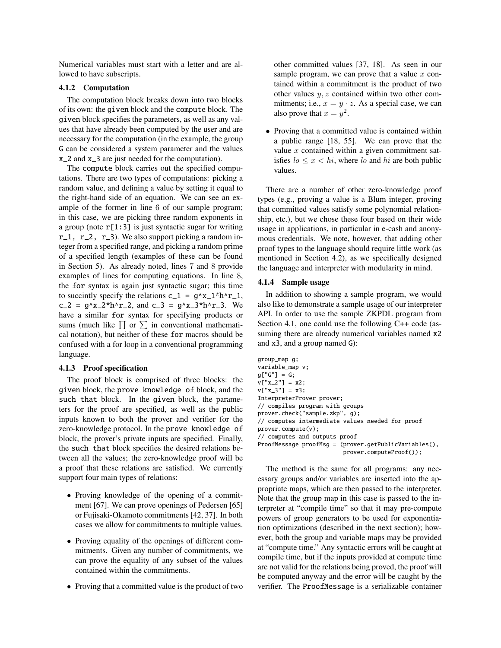Numerical variables must start with a letter and are allowed to have subscripts.

#### 4.1.2 Computation

The computation block breaks down into two blocks of its own: the given block and the compute block. The given block specifies the parameters, as well as any values that have already been computed by the user and are necessary for the computation (in the example, the group G can be considered a system parameter and the values x\_2 and x\_3 are just needed for the computation).

The compute block carries out the specified computations. There are two types of computations: picking a random value, and defining a value by setting it equal to the right-hand side of an equation. We can see an example of the former in line 6 of our sample program; in this case, we are picking three random exponents in a group (note  $r[1:3]$  is just syntactic sugar for writing  $r_1$ ,  $r_2$ ,  $r_3$ ). We also support picking a random integer from a specified range, and picking a random prime of a specified length (examples of these can be found in Section 5). As already noted, lines 7 and 8 provide examples of lines for computing equations. In line 8, the for syntax is again just syntactic sugar; this time to succintly specify the relations  $c_1 = g^x x_1^+ h^x$ .  $c_2 = g'x_2'h'r_2$ , and  $c_3 = g'x_3'h'r_3$ . We have a similar for syntax for specifying products or sums (much like  $\prod$  or  $\sum$  in conventional mathematical notation), but neither of these for macros should be confused with a for loop in a conventional programming language.

#### 4.1.3 Proof specification

The proof block is comprised of three blocks: the given block, the prove knowledge of block, and the such that block. In the given block, the parameters for the proof are specified, as well as the public inputs known to both the prover and verifier for the zero-knowledge protocol. In the prove knowledge of block, the prover's private inputs are specified. Finally, the such that block specifies the desired relations between all the values; the zero-knowledge proof will be a proof that these relations are satisfied. We currently support four main types of relations:

- Proving knowledge of the opening of a commitment [67]. We can prove openings of Pedersen [65] or Fujisaki-Okamoto commitments [42, 37]. In both cases we allow for commitments to multiple values.
- Proving equality of the openings of different commitments. Given any number of commitments, we can prove the equality of any subset of the values contained within the commitments.
- Proving that a committed value is the product of two

other committed values [37, 18]. As seen in our sample program, we can prove that a value  $x$  contained within a commitment is the product of two other values  $y, z$  contained within two other commitments; i.e.,  $x = y \cdot z$ . As a special case, we can also prove that  $x = y^2$ .

• Proving that a committed value is contained within a public range [18, 55]. We can prove that the value  $x$  contained within a given commitment satisfies  $lo \leq x < hi$ , where lo and hi are both public values.

There are a number of other zero-knowledge proof types (e.g., proving a value is a Blum integer, proving that committed values satisfy some polynomial relationship, etc.), but we chose these four based on their wide usage in applications, in particular in e-cash and anonymous credentials. We note, however, that adding other proof types to the language should require little work (as mentioned in Section 4.2), as we specifically designed the language and interpreter with modularity in mind.

#### 4.1.4 Sample usage

In addition to showing a sample program, we would also like to demonstrate a sample usage of our interpreter API. In order to use the sample ZKPDL program from Section 4.1, one could use the following C++ code (assuming there are already numerical variables named x2 and x3, and a group named G):

```
group_map g;
variable_map v;
g['G''] = G;v['x_2"] = x2;v['x_3"] = x3;InterpreterProver prover;
// compiles program with groups
prover.check("sample.zkp", g);
// computes intermediate values needed for proof
prover.compute(v);
// computes and outputs proof
ProofMessage proofMsg = (prover.getPublicVariables(),
                         prover.computeProof());
```
The method is the same for all programs: any necessary groups and/or variables are inserted into the appropriate maps, which are then passed to the interpreter. Note that the group map in this case is passed to the interpreter at "compile time" so that it may pre-compute powers of group generators to be used for exponentiation optimizations (described in the next section); however, both the group and variable maps may be provided at "compute time." Any syntactic errors will be caught at compile time, but if the inputs provided at compute time are not valid for the relations being proved, the proof will be computed anyway and the error will be caught by the verifier. The ProofMessage is a serializable container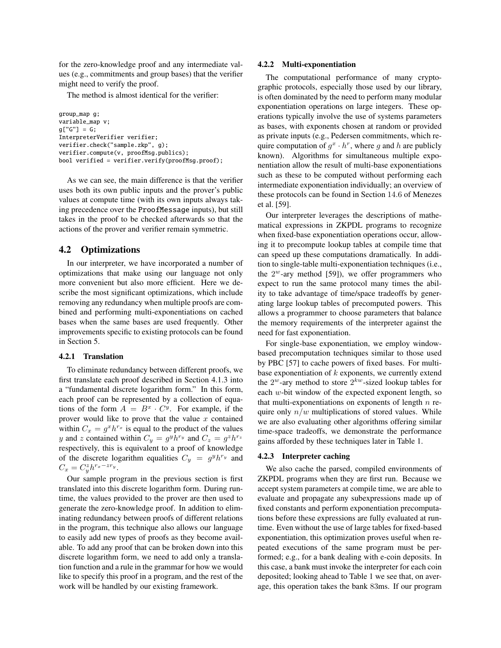for the zero-knowledge proof and any intermediate values (e.g., commitments and group bases) that the verifier might need to verify the proof.

The method is almost identical for the verifier:

```
group_map g;
variable_map v;
g['G''] = G;InterpreterVerifier verifier;
verifier.check("sample.zkp", g);
verifier.compute(v, proofMsg.publics);
bool verified = verifier.verify(proofMsg.proof);
```
As we can see, the main difference is that the verifier uses both its own public inputs and the prover's public values at compute time (with its own inputs always taking precedence over the ProofMessage inputs), but still takes in the proof to be checked afterwards so that the actions of the prover and verifier remain symmetric.

## 4.2 Optimizations

In our interpreter, we have incorporated a number of optimizations that make using our language not only more convenient but also more efficient. Here we describe the most significant optimizations, which include removing any redundancy when multiple proofs are combined and performing multi-exponentiations on cached bases when the same bases are used frequently. Other improvements specific to existing protocols can be found in Section 5.

#### 4.2.1 Translation

To eliminate redundancy between different proofs, we first translate each proof described in Section 4.1.3 into a "fundamental discrete logarithm form." In this form, each proof can be represented by a collection of equations of the form  $A = B^x \cdot C^y$ . For example, if the prover would like to prove that the value  $x$  contained within  $C_x = g^x h^{r_x}$  is equal to the product of the values y and z contained within  $C_y = g^y h^{r_y}$  and  $C_z = g^z h^{r_z}$ respectively, this is equivalent to a proof of knowledge of the discrete logarithm equalities  $C_y = g^y h^{r_y}$  and  $C_x = C_y^z h^{r_x - zr_y}.$ 

Our sample program in the previous section is first translated into this discrete logarithm form. During runtime, the values provided to the prover are then used to generate the zero-knowledge proof. In addition to eliminating redundancy between proofs of different relations in the program, this technique also allows our language to easily add new types of proofs as they become available. To add any proof that can be broken down into this discrete logarithm form, we need to add only a translation function and a rule in the grammar for how we would like to specify this proof in a program, and the rest of the work will be handled by our existing framework.

#### 4.2.2 Multi-exponentiation

The computational performance of many cryptographic protocols, especially those used by our library, is often dominated by the need to perform many modular exponentiation operations on large integers. These operations typically involve the use of systems parameters as bases, with exponents chosen at random or provided as private inputs (e.g., Pedersen commitments, which require computation of  $g^x \cdot h^r$ , where g and h are publicly known). Algorithms for simultaneous multiple exponentiation allow the result of multi-base exponentiations such as these to be computed without performing each intermediate exponentiation individually; an overview of these protocols can be found in Section 14.6 of Menezes et al. [59].

Our interpreter leverages the descriptions of mathematical expressions in ZKPDL programs to recognize when fixed-base exponentiation operations occur, allowing it to precompute lookup tables at compile time that can speed up these computations dramatically. In addition to single-table multi-exponentiation techniques (i.e., the  $2^w$ -ary method [59]), we offer programmers who expect to run the same protocol many times the ability to take advantage of time/space tradeoffs by generating large lookup tables of precomputed powers. This allows a programmer to choose parameters that balance the memory requirements of the interpreter against the need for fast exponentiation.

For single-base exponentiation, we employ windowbased precomputation techniques similar to those used by PBC [57] to cache powers of fixed bases. For multibase exponentiation of  $k$  exponents, we currently extend the  $2^w$ -ary method to store  $2^{kw}$ -sized lookup tables for each w-bit window of the expected exponent length, so that multi-exponentiations on exponents of length  $n$  require only  $n/w$  multiplications of stored values. While we are also evaluating other algorithms offering similar time-space tradeoffs, we demonstrate the performance gains afforded by these techniques later in Table 1.

#### 4.2.3 Interpreter caching

We also cache the parsed, compiled environments of ZKPDL programs when they are first run. Because we accept system parameters at compile time, we are able to evaluate and propagate any subexpressions made up of fixed constants and perform exponentiation precomputations before these expressions are fully evaluated at runtime. Even without the use of large tables for fixed-based exponentiation, this optimization proves useful when repeated executions of the same program must be performed; e.g., for a bank dealing with e-coin deposits. In this case, a bank must invoke the interpreter for each coin deposited; looking ahead to Table 1 we see that, on average, this operation takes the bank 83ms. If our program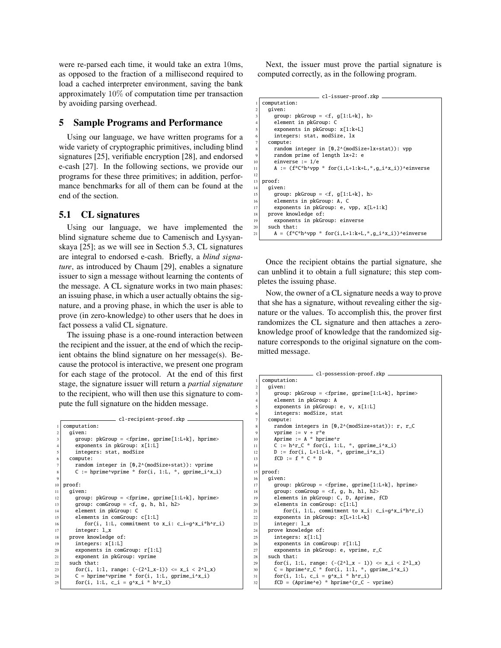were re-parsed each time, it would take an extra 10ms, as opposed to the fraction of a millisecond required to load a cached interpreter environment, saving the bank approximately 10% of computation time per transaction by avoiding parsing overhead.

## 5 Sample Programs and Performance

Using our language, we have written programs for a wide variety of cryptographic primitives, including blind signatures [25], verifiable encryption [28], and endorsed e-cash [27]. In the following sections, we provide our programs for these three primitives; in addition, performance benchmarks for all of them can be found at the end of the section.

## 5.1 CL signatures

Using our language, we have implemented the blind signature scheme due to Camenisch and Lysyanskaya [25]; as we will see in Section 5.3, CL signatures are integral to endorsed e-cash. Briefly, a *blind signature*, as introduced by Chaum [29], enables a signature issuer to sign a message without learning the contents of the message. A CL signature works in two main phases: an issuing phase, in which a user actually obtains the signature, and a proving phase, in which the user is able to prove (in zero-knowledge) to other users that he does in fact possess a valid CL signature.

The issuing phase is a one-round interaction between the recipient and the issuer, at the end of which the recipient obtains the blind signature on her message(s). Because the protocol is interactive, we present one program for each stage of the protocol. At the end of this first stage, the signature issuer will return a *partial signature* to the recipient, who will then use this signature to compute the full signature on the hidden message.

```
cl-recipient-proof.zkp
   computation:
     given:
        \texttt{group: pkGroup} = \texttt{&}\texttt{fprime}, \texttt{gprime}[1\texttt{:}L\texttt{+k}], \texttt{hprime}>exponents in pkGroup: x[1:L]
        integers: stat, modSize
     6 compute:
        random integer in [0.2^(modSize+stat)): vprime
        C := hprime^vprime * for(i, 1:L, *, gprime_i^x_i)
 \alpha10 proof:
11 given:
12 group: pkGroup = \langlefprime, gprime[1:L+k], hprime>
13 group: comGroup = \langle f, g, h, h1, h2 \rangle14 element in pkGroup: C
15 elements in comGroup: c[1:L]
16 \vert for(i, 1:L, commitment to x_i: c_i=g^x_i*h^r_i)
17 integer: 1 \times18 prove knowledge of:
19 integers: x[1:L]
20 exponents in comGroup: r[1:L]<br>exponent in pkGroup: vprime
        exponent in pkGroup: vprime
22 such that:
23 for(i, 1:1, range: (-(2^1 x-1)) \le x_i \le 2^1 x)
24 C = hprime^vprime * for(i, 1:L, gprime_i^x_i)<br>
25 for(i, 1:L, c_i = g^x_i * h^r_i)
```
Next, the issuer must prove the partial signature is computed correctly, as in the following program.

```
cl-issuer-proof.zkp
    computation:
       given:
          group: pkGroup = \langle f, g[1:L+k], h \rangle4 element in pkGroup: C
          exponents in pkGroup: x[1:k+L]
          integers: stat, modSize, lx
       compute:
          random integer in [0,2^(modSize+lx+stat)): vpp
          random prime of length lx+2: e
10 einverse := 1/e11 A := (f^*C^*h^{\wedge}vp p * for(i, L+1:k+L, *, g_i^*x_i))^{\wedge}e^{inverse}12
13 proof:
       given:
15 group: pkGroup = <f, g[1:L+k], h><br>elements in pkGroup: A. C
\begin{array}{c|c} 16 & \text{elements in pkGroup: A, C} \\ \hline 17 & \text{exponents in pkGroup: e.} \end{array}exponents in pkGroup: e, vpp, x[L+1:k]
\begin{array}{c|c} 18 & \text{prove knowledge of:} \\ \hline 19 & \text{exponents in pkGr} \end{array}exponents in pkGroup: einverse
\begin{array}{c|c}\n\text{20} & \text{such that:} \\
\text{21} & \text{A} = & \text{f}^* \text{C}\n\end{array}A = (f * C * h * vpp * for(i, L+1:k+L, *, g_i * x_i)) * einverse
```
Once the recipient obtains the partial signature, she can unblind it to obtain a full signature; this step completes the issuing phase.

Now, the owner of a CL signature needs a way to prove that she has a signature, without revealing either the signature or the values. To accomplish this, the prover first randomizes the CL signature and then attaches a zeroknowledge proof of knowledge that the randomized signature corresponds to the original signature on the committed message.

```
cl-possession-proof.zkp
   computation:
     given:
        group: pkGroup = <fprime, gprime[1:L+k], hprime>4 element in pkGroup: A
        exponents in pkGroup: e, v, x[1:L]
        integers: modSize, stat
      compute:
        random integers in [0,2^{\wedge}(\text{modSize+stat})): r, r_C
        vprime := v + r^*e10 Aprime := A * \text{hprime}11 \begin{bmatrix} \nc & -\n\end{bmatrix} h^r_C * for(i, 1:L, *, gprime_i^x_i)
12 D := for(i, L+1:L+k, * , gprime\_i)<br>
13 fCD := f * C * D14
15 proof:
16 given:
17 group: pkGroup = <fprime, gprime[1:L+k], hprime>
18 group: comGroup = <f, g, h, h1, h2>
19 elements in pkGroup: C, D, Aprime, fCD
20 elements in comGroup: c[1:L]
21 \vert for(i, 1:L, commitment to x_i: c_i=g^x_i*h^r_i)
|22| exponents in pkGroup: x[L+1:L+k]23 integer: 1_x_{24} prove knowledge of:
25 integers: x[1:L]26 exponents in comGroup: r[1:L]
27 exponents in pkGroup: e, vprime, r_C<br>28 such that:
      such that:
29 for(i, 1:L, range: (-(2^{\lambda}1_x - 1)) \le x_i \le 2^{\lambda}1_x)<br>
C = \text{hprime}^{\lambda}r_C \cdot \text{for}(i, 1:1, \cdot, \text{for } y, \text{prime}_i \cdot \text{for}(i))31 for(i, 1:L, c_i = g^x_i * h^r_i)
32 fCD = (Aprime^e) * hprime^(r_C - vprime)
```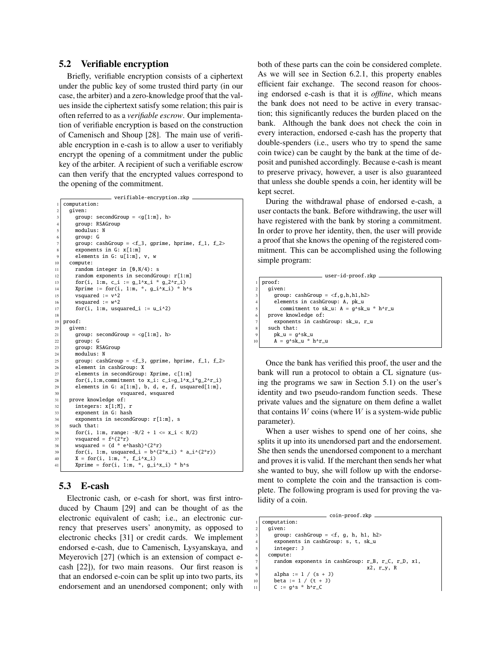## 5.2 Verifiable encryption

Briefly, verifiable encryption consists of a ciphertext under the public key of some trusted third party (in our case, the arbiter) and a zero-knowledge proof that the values inside the ciphertext satisfy some relation; this pair is often referred to as a *verifiable escrow*. Our implementation of verifiable encryption is based on the construction of Camenisch and Shoup [28]. The main use of verifiable encryption in e-cash is to allow a user to verifiably encrypt the opening of a commitment under the public key of the arbiter. A recipient of such a verifiable escrow can then verify that the encrypted values correspond to the opening of the commitment.

```
verifiable-encryption.zkp
    computation:
      given:
         group: secondGroup = \langle g[1:m], h>
         group: RSAGroup
         5 modulus: N
         6 group: G
 7 group: cashGroup = <f_3, gprime, hprime, f_1, f_2>
         exponents in G: x[1:m]
         elements in G: u[1:m], v, w
10 compute:
11 random integer in [0, N/4): s
12 random exponents in secondGroup: r[1:m]
13 for(i, 1:m, c_i := g_1^x * g_2^x;
14 Xprime := for(i, 1:m, *, g_i^* \times h^*s<br>
15 VSquared := v^*2vsquared := v^2|16| wsquared := w^217 for(i, 1:m, usquared_i := u_i^2)
18
19 proof:
20 given:
21 group: secondGroup = \lt g[1:m], h><br>aroup: G
         aroup: G
\begin{array}{c|c}\n 23 & \text{group: RSAGroup} \\
 24 & \text{modulus: N}\n\end{array}modulus: N
25 group: cashGroup = \leq f_3, gprime, hprime, f_1, f_2>
\begin{array}{c|c} 26 & \text{element in cashGroup: X} \\ 27 & \text{elements in secondGroup:} \end{array}elements in secondGroup: Xprime, c[1:m]
28 for(i,1:m,commitment to x_i: c_i=g_1^x_i*g_2^r_i)<br>29 elements in G: a[1:m]. b. d. e. f. usquared[1:m].
         elements in G: a[1:m], b, d, e, f, usquared[1:m],
\begin{array}{c|c} \text{30} & \text{vsquared, vsquared} \\ \hline \text{31} & \text{prove knowledge of:} \end{array}\begin{array}{c|c} \text{31} & \text{prove knowledge of:} \\ \text{integers: x[1;M],} \end{array}integers: x[1;M], r
\begin{array}{c|c}\n 33 \\
 34 \\
 45\n \end{array} exponents in second
34 \nvert exponents in secondGroup: r[1:m], s<br>35 such that:
      such that:
36 for(i, 1:m, range: -N/2 + 1 \le x_i \le N/2)
37 vsquared = f^{\wedge}(2*r)38 wsquared = (d * e^hhash)^(2*r)
39 \text{ for (i, 1:m, usquared_i = } b^*(2*x_i) * a_i^*(2*r))40 | X = for(i, 1:m, *, f_i^*, f_i^*Xprime = for(i, 1:m, *, g_i^*/x_i) * h^*s
```
# 5.3 E-cash

Electronic cash, or e-cash for short, was first introduced by Chaum [29] and can be thought of as the electronic equivalent of cash; i.e., an electronic currency that preserves users' anonymity, as opposed to electronic checks [31] or credit cards. We implement endorsed e-cash, due to Camenisch, Lysyanskaya, and Meyerovich [27] (which is an extension of compact ecash [22]), for two main reasons. Our first reason is that an endorsed e-coin can be split up into two parts, its endorsement and an unendorsed component; only with both of these parts can the coin be considered complete. As we will see in Section 6.2.1, this property enables efficient fair exchange. The second reason for choosing endorsed e-cash is that it is *offline*, which means the bank does not need to be active in every transaction; this significantly reduces the burden placed on the bank. Although the bank does not check the coin in every interaction, endorsed e-cash has the property that double-spenders (i.e., users who try to spend the same coin twice) can be caught by the bank at the time of deposit and punished accordingly. Because e-cash is meant to preserve privacy, however, a user is also guaranteed that unless she double spends a coin, her identity will be kept secret.

During the withdrawal phase of endorsed e-cash, a user contacts the bank. Before withdrawing, the user will have registered with the bank by storing a commitment. In order to prove her identity, then, the user will provide a proof that she knows the opening of the registered commitment. This can be accomplished using the following simple program:

```
user-id-proof.zkp
1 proof:
  given:
     group: cashGroup = \langle f,g,h,h1,h2\rangle4 elements in cashGroup: A, pk_u
       commitment to sk_u: A = g^x - k^x + h^xprove knowledge of:
     exponents in cashGroup: sk_u, r_u
  such that:
    pk\_u = g^sk_u
     A = g^k s k u * h^r u
```
Once the bank has verified this proof, the user and the bank will run a protocol to obtain a CL signature (using the programs we saw in Section 5.1) on the user's identity and two pseudo-random function seeds. These private values and the signature on them define a wallet that contains  $W$  coins (where  $W$  is a system-wide public parameter).

When a user wishes to spend one of her coins, she splits it up into its unendorsed part and the endorsement. She then sends the unendorsed component to a merchant and proves it is valid. If the merchant then sends her what she wanted to buy, she will follow up with the endorsement to complete the coin and the transaction is complete. The following program is used for proving the validity of a coin.

```
coin-proof.zkp
   computation:
    given:
       group: cashGroup = \langle f, g, h, h1, h2 \rangleexponents in cashGroup: s, t, sk_u
       integer: J
     compute:
       random exponents in cashGroup: r_B, r_C, r_D, x1,
                                        x2, r_y, R
       alpha := 1 / (s + 1)beta := 1 / (t + J)11 C := g \wedge s * h \wedge r_C
```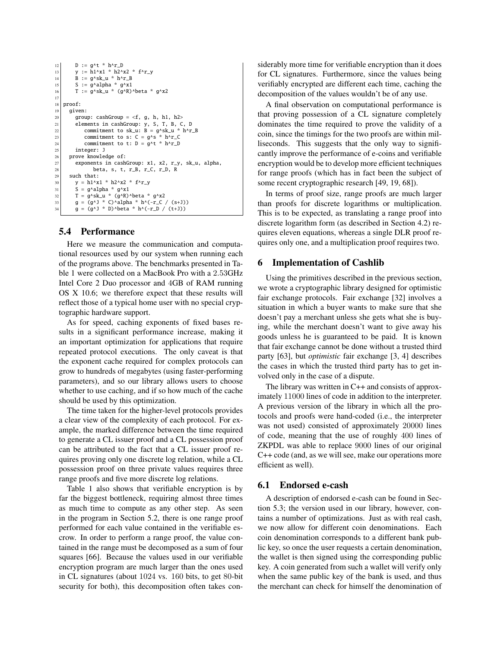```
12 D := q^{\wedge}t * h^{\wedge}r_D13 y := h1^x * h2^x2 * f^r14 B := g^sk_u * h^r_B
\begin{bmatrix} 15 \\ 15 \end{bmatrix} S := g^alpha * g^x1
16 T := g^x \cdot \text{Sk}_u * (g^x \cdot R)^xbeta * g^x2
17
18 proof:
19 given:
20 group: cashGroup = \langle f, g, h, h1, h2 \rangle21 elements in cashGroup: y, S, T, B, C, D
22 commitment to sk_u: B = g^sk_u * h^r_B<br>
commitment to s: C = g^s * h^r_C
24 commitment to t: D = 9^{\lambda}t * h^{\lambda}r_D25 integer: J
26 prove knowledge of:
27 exponents in cashGroup: x1, x2, r_y, sk_u, alpha,
28 beta, s, t, r_B, r_C, r_D, R
29 such that:
30 y = h1^x1 * h2^x2 * f^r-y31 S = g^alpha * g^x1
32 T = g^sk_u * (g^R)^beta * g^x2<br>33 g = (g^J * C)^alpha * h^(-r_C / (s+J))
        g = (g^2)^* D beta * h^(-r_D / (t+J))
```
## 5.4 Performance

Here we measure the communication and computational resources used by our system when running each of the programs above. The benchmarks presented in Table 1 were collected on a MacBook Pro with a 2.53GHz Intel Core 2 Duo processor and 4GB of RAM running OS X 10.6; we therefore expect that these results will reflect those of a typical home user with no special cryptographic hardware support.

As for speed, caching exponents of fixed bases results in a significant performance increase, making it an important optimization for applications that require repeated protocol executions. The only caveat is that the exponent cache required for complex protocols can grow to hundreds of megabytes (using faster-performing parameters), and so our library allows users to choose whether to use caching, and if so how much of the cache should be used by this optimization.

The time taken for the higher-level protocols provides a clear view of the complexity of each protocol. For example, the marked difference between the time required to generate a CL issuer proof and a CL possession proof can be attributed to the fact that a CL issuer proof requires proving only one discrete log relation, while a CL possession proof on three private values requires three range proofs and five more discrete log relations.

Table 1 also shows that verifiable encryption is by far the biggest bottleneck, requiring almost three times as much time to compute as any other step. As seen in the program in Section 5.2, there is one range proof performed for each value contained in the verifiable escrow. In order to perform a range proof, the value contained in the range must be decomposed as a sum of four squares [66]. Because the values used in our verifiable encryption program are much larger than the ones used in CL signatures (about 1024 vs. 160 bits, to get 80-bit security for both), this decomposition often takes considerably more time for verifiable encryption than it does for CL signatures. Furthermore, since the values being verifiably encrypted are different each time, caching the decomposition of the values wouldn't be of any use.

A final observation on computational performance is that proving possession of a CL signature completely dominates the time required to prove the validity of a coin, since the timings for the two proofs are within milliseconds. This suggests that the only way to significantly improve the performance of e-coins and verifiable encryption would be to develop more efficient techniques for range proofs (which has in fact been the subject of some recent cryptographic research [49, 19, 68]).

In terms of proof size, range proofs are much larger than proofs for discrete logarithms or multiplication. This is to be expected, as translating a range proof into discrete logarithm form (as described in Section 4.2) requires eleven equations, whereas a single DLR proof requires only one, and a multiplication proof requires two.

#### 6 Implementation of Cashlib

Using the primitives described in the previous section, we wrote a cryptographic library designed for optimistic fair exchange protocols. Fair exchange [32] involves a situation in which a buyer wants to make sure that she doesn't pay a merchant unless she gets what she is buying, while the merchant doesn't want to give away his goods unless he is guaranteed to be paid. It is known that fair exchange cannot be done without a trusted third party [63], but *optimistic* fair exchange [3, 4] describes the cases in which the trusted third party has to get involved only in the case of a dispute.

The library was written in C++ and consists of approximately 11000 lines of code in addition to the interpreter. A previous version of the library in which all the protocols and proofs were hand-coded (i.e., the interpreter was not used) consisted of approximately 20000 lines of code, meaning that the use of roughly 400 lines of ZKPDL was able to replace 9000 lines of our original C++ code (and, as we will see, make our operations more efficient as well).

## 6.1 Endorsed e-cash

A description of endorsed e-cash can be found in Section 5.3; the version used in our library, however, contains a number of optimizations. Just as with real cash, we now allow for different coin denominations. Each coin denomination corresponds to a different bank public key, so once the user requests a certain denomination, the wallet is then signed using the corresponding public key. A coin generated from such a wallet will verify only when the same public key of the bank is used, and thus the merchant can check for himself the denomination of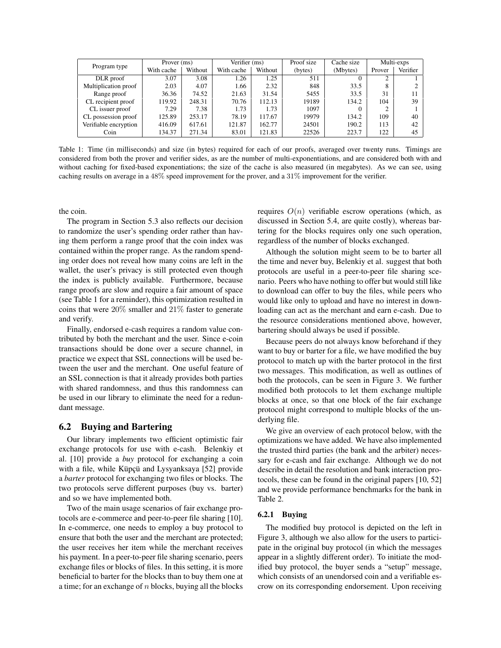|                       | Prover (ms) |         | Verifier (ms) |         | Proof size | Cache size | Multi-exps |          |
|-----------------------|-------------|---------|---------------|---------|------------|------------|------------|----------|
| Program type          | With cache  | Without | With cache    | Without | (bytes)    | (Mbytes)   | Prover     | Verifier |
| DLR proof             | 3.07        | 3.08    | 1.26          | 1.25    | 511        |            | $\sim$     |          |
| Multiplication proof  | 2.03        | 4.07    | 1.66          | 2.32    | 848        | 33.5       | 8          |          |
| Range proof           | 36.36       | 74.52   | 21.63         | 31.54   | 5455       | 33.5       | 31         |          |
| CL recipient proof    | 119.92      | 248.31  | 70.76         | 112.13  | 19189      | 134.2      | 104        | 39       |
| CL issuer proof       | 7.29        | 7.38    | 1.73          | 1.73    | 1097       |            |            |          |
| CL possession proof   | 125.89      | 253.17  | 78.19         | 117.67  | 19979      | 134.2      | 109        | 40       |
| Verifiable encryption | 416.09      | 617.61  | 121.87        | 162.77  | 24501      | 190.2      | 113        | 42       |
| Coin                  | 134.37      | 271.34  | 83.01         | 121.83  | 22526      | 223.7      | 122        | 45       |

Table 1: Time (in milliseconds) and size (in bytes) required for each of our proofs, averaged over twenty runs. Timings are considered from both the prover and verifier sides, as are the number of multi-exponentiations, and are considered both with and without caching for fixed-based exponentiations; the size of the cache is also measured (in megabytes). As we can see, using caching results on average in a 48% speed improvement for the prover, and a 31% improvement for the verifier.

the coin.

The program in Section 5.3 also reflects our decision to randomize the user's spending order rather than having them perform a range proof that the coin index was contained within the proper range. As the random spending order does not reveal how many coins are left in the wallet, the user's privacy is still protected even though the index is publicly available. Furthermore, because range proofs are slow and require a fair amount of space (see Table 1 for a reminder), this optimization resulted in coins that were 20% smaller and 21% faster to generate and verify.

Finally, endorsed e-cash requires a random value contributed by both the merchant and the user. Since e-coin transactions should be done over a secure channel, in practice we expect that SSL connections will be used between the user and the merchant. One useful feature of an SSL connection is that it already provides both parties with shared randomness, and thus this randomness can be used in our library to eliminate the need for a redundant message.

# 6.2 Buying and Bartering

Our library implements two efficient optimistic fair exchange protocols for use with e-cash. Belenkiy et al. [10] provide a *buy* protocol for exchanging a coin with a file, while Küpçü and Lysyanksaya [52] provide a *barter* protocol for exchanging two files or blocks. The two protocols serve different purposes (buy vs. barter) and so we have implemented both.

Two of the main usage scenarios of fair exchange protocols are e-commerce and peer-to-peer file sharing [10]. In e-commerce, one needs to employ a buy protocol to ensure that both the user and the merchant are protected; the user receives her item while the merchant receives his payment. In a peer-to-peer file sharing scenario, peers exchange files or blocks of files. In this setting, it is more beneficial to barter for the blocks than to buy them one at a time; for an exchange of  $n$  blocks, buying all the blocks requires  $O(n)$  verifiable escrow operations (which, as discussed in Section 5.4, are quite costly), whereas bartering for the blocks requires only one such operation, regardless of the number of blocks exchanged.

Although the solution might seem to be to barter all the time and never buy, Belenkiy et al. suggest that both protocols are useful in a peer-to-peer file sharing scenario. Peers who have nothing to offer but would still like to download can offer to buy the files, while peers who would like only to upload and have no interest in downloading can act as the merchant and earn e-cash. Due to the resource considerations mentioned above, however, bartering should always be used if possible.

Because peers do not always know beforehand if they want to buy or barter for a file, we have modified the buy protocol to match up with the barter protocol in the first two messages. This modification, as well as outlines of both the protocols, can be seen in Figure 3. We further modified both protocols to let them exchange multiple blocks at once, so that one block of the fair exchange protocol might correspond to multiple blocks of the underlying file.

We give an overview of each protocol below, with the optimizations we have added. We have also implemented the trusted third parties (the bank and the arbiter) necessary for e-cash and fair exchange. Although we do not describe in detail the resolution and bank interaction protocols, these can be found in the original papers [10, 52] and we provide performance benchmarks for the bank in Table 2.

#### 6.2.1 Buying

The modified buy protocol is depicted on the left in Figure 3, although we also allow for the users to participate in the original buy protocol (in which the messages appear in a slightly different order). To initiate the modified buy protocol, the buyer sends a "setup" message, which consists of an unendorsed coin and a verifiable escrow on its corresponding endorsement. Upon receiving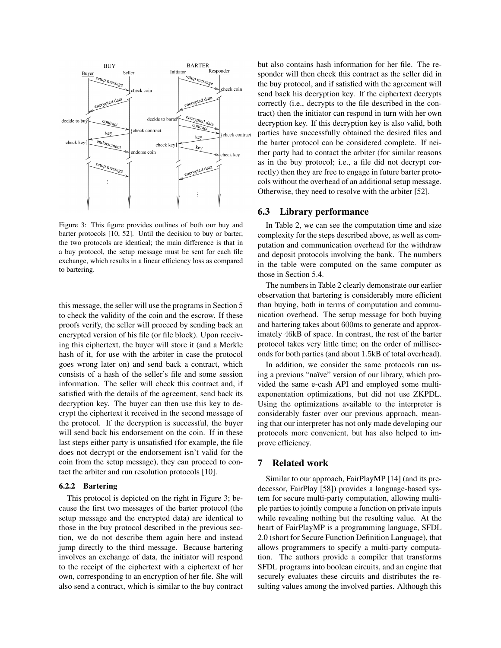

Figure 3: This figure provides outlines of both our buy and barter protocols [10, 52]. Until the decision to buy or barter, the two protocols are identical; the main difference is that in a buy protocol, the setup message must be sent for each file exchange, which results in a linear efficiency loss as compared to bartering.

this message, the seller will use the programs in Section 5 to check the validity of the coin and the escrow. If these proofs verify, the seller will proceed by sending back an encrypted version of his file (or file block). Upon receiving this ciphertext, the buyer will store it (and a Merkle hash of it, for use with the arbiter in case the protocol goes wrong later on) and send back a contract, which consists of a hash of the seller's file and some session information. The seller will check this contract and, if satisfied with the details of the agreement, send back its decryption key. The buyer can then use this key to decrypt the ciphertext it received in the second message of the protocol. If the decryption is successful, the buyer will send back his endorsement on the coin. If in these last steps either party is unsatisfied (for example, the file does not decrypt or the endorsement isn't valid for the coin from the setup message), they can proceed to contact the arbiter and run resolution protocols [10].

#### 6.2.2 Bartering

This protocol is depicted on the right in Figure 3; because the first two messages of the barter protocol (the setup message and the encrypted data) are identical to those in the buy protocol described in the previous section, we do not describe them again here and instead jump directly to the third message. Because bartering involves an exchange of data, the initiator will respond to the receipt of the ciphertext with a ciphertext of her own, corresponding to an encryption of her file. She will also send a contract, which is similar to the buy contract but also contains hash information for her file. The responder will then check this contract as the seller did in the buy protocol, and if satisfied with the agreement will send back his decryption key. If the ciphertext decrypts correctly (i.e., decrypts to the file described in the contract) then the initiator can respond in turn with her own decryption key. If this decryption key is also valid, both parties have successfully obtained the desired files and the barter protocol can be considered complete. If neither party had to contact the arbiter (for similar reasons as in the buy protocol; i.e., a file did not decrypt correctly) then they are free to engage in future barter protocols without the overhead of an additional setup message. Otherwise, they need to resolve with the arbiter [52].

## 6.3 Library performance

In Table 2, we can see the computation time and size complexity for the steps described above, as well as computation and communication overhead for the withdraw and deposit protocols involving the bank. The numbers in the table were computed on the same computer as those in Section 5.4.

The numbers in Table 2 clearly demonstrate our earlier observation that bartering is considerably more efficient than buying, both in terms of computation and communication overhead. The setup message for both buying and bartering takes about 600ms to generate and approximately 46kB of space. In contrast, the rest of the barter protocol takes very little time; on the order of milliseconds for both parties (and about 1.5kB of total overhead).

In addition, we consider the same protocols run using a previous "naïve" version of our library, which provided the same e-cash API and employed some multiexponentation optimizations, but did not use ZKPDL. Using the optimizations available to the interpreter is considerably faster over our previous approach, meaning that our interpreter has not only made developing our protocols more convenient, but has also helped to improve efficiency.

## 7 Related work

Similar to our approach, FairPlayMP [14] (and its predecessor, FairPlay [58]) provides a language-based system for secure multi-party computation, allowing multiple parties to jointly compute a function on private inputs while revealing nothing but the resulting value. At the heart of FairPlayMP is a programming language, SFDL 2.0 (short for Secure Function Definition Language), that allows programmers to specify a multi-party computation. The authors provide a compiler that transforms SFDL programs into boolean circuits, and an engine that securely evaluates these circuits and distributes the resulting values among the involved parties. Although this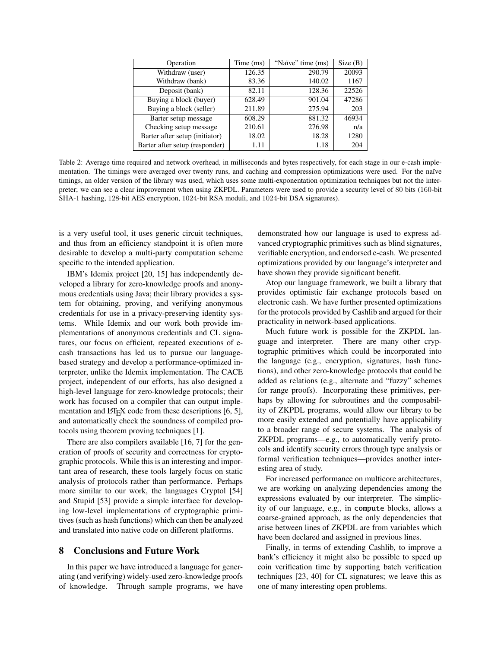| Operation                      | Time (ms) | "Naïve" time (ms) | Size(B) |  |
|--------------------------------|-----------|-------------------|---------|--|
| Withdraw (user)                | 126.35    | 290.79            | 20093   |  |
| Withdraw (bank)                | 83.36     | 140.02            | 1167    |  |
| Deposit (bank)                 | 82.11     | 128.36            | 22526   |  |
| Buying a block (buyer)         | 628.49    | 901.04            | 47286   |  |
| Buying a block (seller)        | 211.89    | 275.94            | 203     |  |
| Barter setup message           | 608.29    | 881.32            | 46934   |  |
| Checking setup message         | 210.61    | 276.98            | n/a     |  |
| Barter after setup (initiator) | 18.02     | 18.28             | 1280    |  |
| Barter after setup (responder) | 1.11      | 1.18              | 204     |  |

Table 2: Average time required and network overhead, in milliseconds and bytes respectively, for each stage in our e-cash implementation. The timings were averaged over twenty runs, and caching and compression optimizations were used. For the naïve timings, an older version of the library was used, which uses some multi-exponentation optimization techniques but not the interpreter; we can see a clear improvement when using ZKPDL. Parameters were used to provide a security level of 80 bits (160-bit SHA-1 hashing, 128-bit AES encryption, 1024-bit RSA moduli, and 1024-bit DSA signatures).

is a very useful tool, it uses generic circuit techniques, and thus from an efficiency standpoint it is often more desirable to develop a multi-party computation scheme specific to the intended application.

IBM's Idemix project [20, 15] has independently developed a library for zero-knowledge proofs and anonymous credentials using Java; their library provides a system for obtaining, proving, and verifying anonymous credentials for use in a privacy-preserving identity systems. While Idemix and our work both provide implementations of anonymous credentials and CL signatures, our focus on efficient, repeated executions of ecash transactions has led us to pursue our languagebased strategy and develop a performance-optimized interpreter, unlike the Idemix implementation. The CACE project, independent of our efforts, has also designed a high-level language for zero-knowledge protocols; their work has focused on a compiler that can output implementation and  $\Delta E$ <sub>F</sub>X code from these descriptions [6, 5], and automatically check the soundness of compiled protocols using theorem proving techniques [1].

There are also compilers available [16, 7] for the generation of proofs of security and correctness for cryptographic protocols. While this is an interesting and important area of research, these tools largely focus on static analysis of protocols rather than performance. Perhaps more similar to our work, the languages Cryptol [54] and Stupid [53] provide a simple interface for developing low-level implementations of cryptographic primitives (such as hash functions) which can then be analyzed and translated into native code on different platforms.

## 8 Conclusions and Future Work

In this paper we have introduced a language for generating (and verifying) widely-used zero-knowledge proofs of knowledge. Through sample programs, we have demonstrated how our language is used to express advanced cryptographic primitives such as blind signatures, verifiable encryption, and endorsed e-cash. We presented optimizations provided by our language's interpreter and have shown they provide significant benefit.

Atop our language framework, we built a library that provides optimistic fair exchange protocols based on electronic cash. We have further presented optimizations for the protocols provided by Cashlib and argued for their practicality in network-based applications.

Much future work is possible for the ZKPDL language and interpreter. There are many other cryptographic primitives which could be incorporated into the language (e.g., encryption, signatures, hash functions), and other zero-knowledge protocols that could be added as relations (e.g., alternate and "fuzzy" schemes for range proofs). Incorporating these primitives, perhaps by allowing for subroutines and the composability of ZKPDL programs, would allow our library to be more easily extended and potentially have applicability to a broader range of secure systems. The analysis of ZKPDL programs—e.g., to automatically verify protocols and identify security errors through type analysis or formal verification techniques—provides another interesting area of study.

For increased performance on multicore architectures, we are working on analyzing dependencies among the expressions evaluated by our interpreter. The simplicity of our language, e.g., in compute blocks, allows a coarse-grained approach, as the only dependencies that arise between lines of ZKPDL are from variables which have been declared and assigned in previous lines.

Finally, in terms of extending Cashlib, to improve a bank's efficiency it might also be possible to speed up coin verification time by supporting batch verification techniques [23, 40] for CL signatures; we leave this as one of many interesting open problems.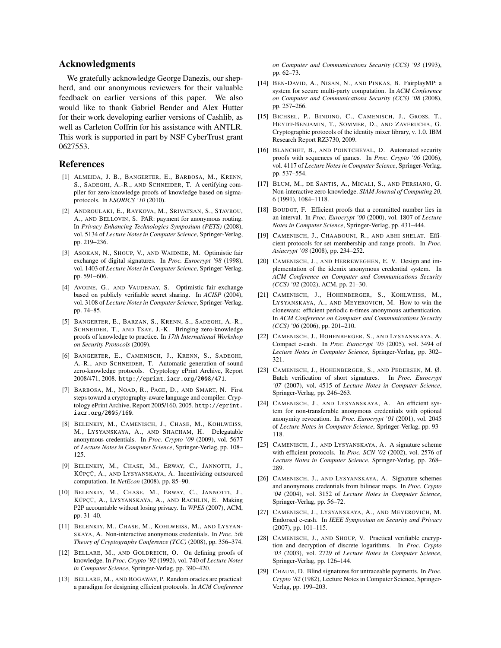# Acknowledgments

We gratefully acknowledge George Danezis, our shepherd, and our anonymous reviewers for their valuable feedback on earlier versions of this paper. We also would like to thank Gabriel Bender and Alex Hutter for their work developing earlier versions of Cashlib, as well as Carleton Coffrin for his assistance with ANTLR. This work is supported in part by NSF CyberTrust grant 0627553.

## References

- [1] ALMEIDA, J. B., BANGERTER, E., BARBOSA, M., KRENN, S., SADEGHI, A.-R., AND SCHNEIDER, T. A certifying compiler for zero-knowledge proofs of knowledge based on sigmaprotocols. In *ESORICS '10* (2010).
- [2] ANDROULAKI, E., RAYKOVA, M., SRIVATSAN, S., STAVROU, A., AND BELLOVIN, S. PAR: payment for anonymous routing. In *Privacy Enhancing Technologies Symposium (PETS)* (2008), vol. 5134 of *Lecture Notes in Computer Science*, Springer-Verlag, pp. 219–236.
- [3] ASOKAN, N., SHOUP, V., AND WAIDNER, M. Optimistic fair exchange of digital signatures. In *Proc. Eurocrypt '98* (1998), vol. 1403 of *Lecture Notes in Computer Science*, Springer-Verlag, pp. 591–606.
- [4] AVOINE, G., AND VAUDENAY, S. Optimistic fair exchange based on publicly verifiable secret sharing. In *ACISP* (2004), vol. 3108 of *Lecture Notes in Computer Science*, Springer-Verlag, pp. 74–85.
- [5] BANGERTER, E., BARZAN, S., KRENN, S., SADEGHI, A.-R., SCHNEIDER, T., AND TSAY, J.-K. Bringing zero-knowledge proofs of knowledge to practice. In *17th International Workshop on Security Protocols* (2009).
- [6] BANGERTER, E., CAMENISCH, J., KRENN, S., SADEGHI, A.-R., AND SCHNEIDER, T. Automatic generation of sound zero-knowledge protocols. Cryptology ePrint Archive, Report 2008/471, 2008. http://eprint.iacr.org/2008/471.
- [7] BARBOSA, M., NOAD, R., PAGE, D., AND SMART, N. First steps toward a cryptography-aware language and compiler. Cryptology ePrint Archive, Report 2005/160, 2005. http://eprint. iacr.org/2005/160.
- [8] BELENKIY, M., CAMENISCH, J., CHASE, M., KOHLWEISS, M., LYSYANSKAYA, A., AND SHACHAM, H. Delegatable anonymous credentials. In *Proc. Crypto '09* (2009), vol. 5677 of *Lecture Notes in Computer Science*, Springer-Verlag, pp. 108– 125.
- [9] BELENKIY, M., CHASE, M., ERWAY, C., JANNOTTI, J., KÜPÇÜ, A., AND LYSYANSKAYA, A. Incentivizing outsourced computation. In *NetEcon* (2008), pp. 85–90.
- [10] BELENKIY, M., CHASE, M., ERWAY, C., JANNOTTI, J., KÜPÇÜ, A., LYSYANSKAYA, A., AND RACHLIN, E. Making P2P accountable without losing privacy. In *WPES* (2007), ACM, pp. 31–40.
- [11] BELENKIY, M., CHASE, M., KOHLWEISS, M., AND LYSYAN-SKAYA, A. Non-interactive anonymous credentials. In *Proc. 5th Theory of Cryptography Conference (TCC)* (2008), pp. 356–374.
- [12] BELLARE, M., AND GOLDREICH, O. On defining proofs of knowledge. In *Proc. Crypto '92* (1992), vol. 740 of *Lecture Notes in Computer Science*, Springer-Verlag, pp. 390–420.
- [13] BELLARE, M., AND ROGAWAY, P. Random oracles are practical: a paradigm for designing efficient protocols. In *ACM Conference*

*on Computer and Communications Security (CCS) '93* (1993), pp. 62–73.

- [14] BEN-DAVID, A., NISAN, N., AND PINKAS, B. FairplayMP: a system for secure multi-party computation. In *ACM Conference on Computer and Communications Security (CCS) '08* (2008), pp. 257–266.
- [15] BICHSEL, P., BINDING, C., CAMENISCH, J., GROSS, T., HEYDT-BENJAMIN, T., SOMMER, D., AND ZAVERUCHA, G. Cryptographic protocols of the identity mixer library, v. 1.0. IBM Research Report RZ3730, 2009.
- [16] BLANCHET, B., AND POINTCHEVAL, D. Automated security proofs with sequences of games. In *Proc. Crypto '06* (2006), vol. 4117 of *Lecture Notes in Computer Science*, Springer-Verlag, pp. 537–554.
- [17] BLUM, M., DE SANTIS, A., MICALI, S., AND PERSIANO, G. Non-interactive zero-knowledge. *SIAM Journal of Computing 20*, 6 (1991), 1084–1118.
- [18] BOUDOT, F. Efficient proofs that a committed number lies in an interval. In *Proc. Eurocrypt '00* (2000), vol. 1807 of *Lecture Notes in Computer Science*, Springer-Verlag, pp. 431–444.
- [19] CAMENISCH, J., CHAABOUNI, R., AND ABHI SHELAT. Efficient protocols for set membership and range proofs. In *Proc. Asiacrypt '08* (2008), pp. 234–252.
- [20] CAMENISCH, J., AND HERREWEGHEN, E. V. Design and implementation of the idemix anonymous credential system. In *ACM Conference on Computer and Communications Security (CCS) '02* (2002), ACM, pp. 21–30.
- [21] CAMENISCH, J., HOHENBERGER, S., KOHLWEISS, M., LYSYANSKAYA, A., AND MEYEROVICH, M. How to win the clonewars: efficient periodic n-times anonymous authentication. In *ACM Conference on Computer and Communications Security (CCS) '06* (2006), pp. 201–210.
- [22] CAMENISCH, J., HOHENBERGER, S., AND LYSYANSKAYA, A. Compact e-cash. In *Proc. Eurocrypt '05* (2005), vol. 3494 of *Lecture Notes in Computer Science*, Springer-Verlag, pp. 302– 321.
- [23] CAMENISCH, J., HOHENBERGER, S., AND PEDERSEN, M. Ø. Batch verification of short signatures. In *Proc. Eurocrypt '07* (2007), vol. 4515 of *Lecture Notes in Computer Science*, Springer-Verlag, pp. 246–263.
- [24] CAMENISCH, J., AND LYSYANSKAYA, A. An efficient system for non-transferable anonymous credentials with optional anonymity revocation. In *Proc. Eurocrypt '01* (2001), vol. 2045 of *Lecture Notes in Computer Science*, Springer-Verlag, pp. 93– 118.
- [25] CAMENISCH, J., AND LYSYANSKAYA, A. A signature scheme with efficient protocols. In *Proc. SCN '02* (2002), vol. 2576 of *Lecture Notes in Computer Science*, Springer-Verlag, pp. 268– 289.
- [26] CAMENISCH, J., AND LYSYANSKAYA, A. Signature schemes and anonymous credentials from bilinear maps. In *Proc. Crypto '04* (2004), vol. 3152 of *Lecture Notes in Computer Science*, Springer-Verlag, pp. 56–72.
- [27] CAMENISCH, J., LYSYANSKAYA, A., AND MEYEROVICH, M. Endorsed e-cash. In *IEEE Symposium on Security and Privacy* (2007), pp. 101–115.
- [28] CAMENISCH, J., AND SHOUP, V. Practical verifiable encryption and decryption of discrete logarithms. In *Proc. Crypto '03* (2003), vol. 2729 of *Lecture Notes in Computer Science*, Springer-Verlag, pp. 126–144.
- [29] CHAUM, D. Blind signatures for untraceable payments. In *Proc. Crypto '82* (1982), Lecture Notes in Computer Science, Springer-Verlag, pp. 199–203.